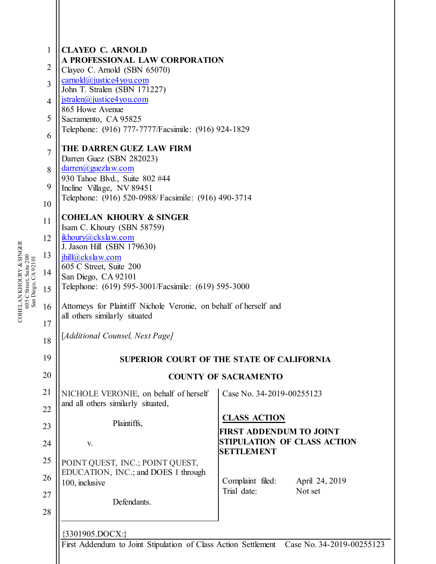| $\mathbf{1}$   | <b>CLAYEO C. ARNOLD</b><br>A PROFESSIONAL LAW CORPORATION                   |                                                                                           |
|----------------|-----------------------------------------------------------------------------|-------------------------------------------------------------------------------------------|
| $\overline{2}$ | Clayeo C. Arnold (SBN 65070)<br>$carnold@justice4$ you.com                  |                                                                                           |
| 3              | John T. Stralen (SBN 171227)                                                |                                                                                           |
| $\overline{4}$ | $\text{istralen}(a)$ justice4 you.com<br>865 Howe Avenue                    |                                                                                           |
| 5              | Sacramento, CA 95825                                                        |                                                                                           |
| 6              | Telephone: (916) 777-7777/Facsimile: (916) 924-1829                         |                                                                                           |
| $\overline{7}$ | THE DARREN GUEZ LAW FIRM<br>Darren Guez (SBN 282023)                        |                                                                                           |
| 8              | $darren(a)$ guezlaw.com                                                     |                                                                                           |
| 9              | 930 Tahoe Blvd., Suite 802 #44<br>Incline Village, NV 89451                 |                                                                                           |
| 10             | Telephone: (916) 520-0988/Facsimile: (916) 490-3714                         |                                                                                           |
| 11             | <b>COHELAN KHOURY &amp; SINGER</b>                                          |                                                                                           |
| 12             | Isam C. Khoury (SBN 58759)<br>ikhoury@ckslaw.com                            |                                                                                           |
| 13             | J. Jason Hill (SBN 179630)<br>$\text{hill}(a)$ ckslaw.com                   |                                                                                           |
| 14             | 605 C Street, Suite 200                                                     |                                                                                           |
| 15             | San Diego, CA 92101<br>Telephone: (619) 595-3001/Facsimile: (619) 595-3000  |                                                                                           |
| 16             | Attorneys for Plaintiff Nichole Veronie, on behalf of herself and           |                                                                                           |
|                | all others similarly situated                                               |                                                                                           |
| 17<br>18       | [Additional Counsel, Next Page]                                             |                                                                                           |
|                |                                                                             |                                                                                           |
| 19             |                                                                             | SUPERIOR COURT OF THE STATE OF CALIFORNIA                                                 |
| 20             |                                                                             | <b>COUNTY OF SACRAMENTO</b>                                                               |
| 21             | NICHOLE VERONIE, on behalf of herself<br>and all others similarly situated, | Case No. 34-2019-00255123                                                                 |
| 22             |                                                                             | <b>CLASS ACTION</b>                                                                       |
| 23             | Plaintiffs,                                                                 | <b>FIRST ADDENDUM TO JOINT</b>                                                            |
| 24             | V.                                                                          | STIPULATION OF CLASS ACTION<br><b>SETTLEMENT</b>                                          |
| 25             | POINT QUEST, INC.; POINT QUEST,                                             |                                                                                           |
| 26             | EDUCATION, INC.; and DOES 1 through<br>100, inclusive                       | Complaint filed:<br>April 24, 2019                                                        |
| 27             | Defendants.                                                                 | Trial date:<br>Not set                                                                    |
| 28             |                                                                             |                                                                                           |
|                | ${3301905. DOCX:}$                                                          |                                                                                           |
|                |                                                                             | First Addendum to Joint Stipulation of Class Action Settlement  Case No. 34-2019-00255123 |

COHELAN KHOURY COHELAN KHOURY & SINGER<br>605 C Street, Suite 200<br>San Diego, CA 92101 605 C Street, Suite 200 San Diego, CA 92101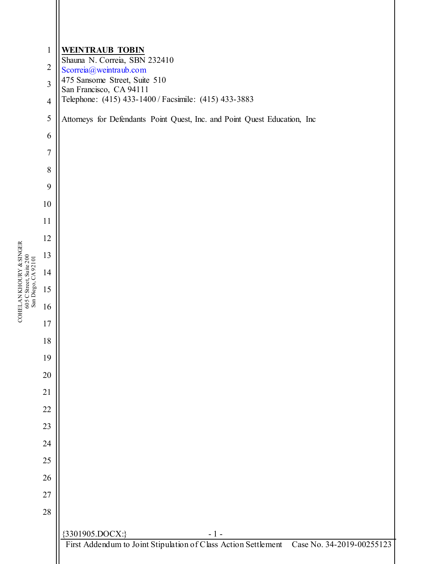| COHELAN KHOURY & SINGER<br>605 C Street, Suite 200<br>San Diego, CA 92101 | $\mathbf{1}$     | <b>WEINTRAUB TOBIN</b><br>Shauna N. Correia, SBN 232410                                  |
|---------------------------------------------------------------------------|------------------|------------------------------------------------------------------------------------------|
|                                                                           | $\overline{2}$   | Scorreia@weintraub.com                                                                   |
|                                                                           | $\overline{3}$   | 475 Sansome Street, Suite 510<br>San Francisco, CA 94111                                 |
|                                                                           | $\overline{4}$   | Telephone: (415) 433-1400 / Facsimile: (415) 433-3883                                    |
|                                                                           | 5                | Attorneys for Defendants Point Quest, Inc. and Point Quest Education, Inc                |
|                                                                           | 6                |                                                                                          |
|                                                                           | $\boldsymbol{7}$ |                                                                                          |
|                                                                           | 8                |                                                                                          |
|                                                                           | 9                |                                                                                          |
|                                                                           | 10               |                                                                                          |
|                                                                           | 11               |                                                                                          |
|                                                                           | 12               |                                                                                          |
|                                                                           | 13               |                                                                                          |
|                                                                           | 14               |                                                                                          |
|                                                                           | 15               |                                                                                          |
|                                                                           | 16               |                                                                                          |
|                                                                           | 17               |                                                                                          |
|                                                                           | 18               |                                                                                          |
|                                                                           | 19               |                                                                                          |
|                                                                           | $20\,$           |                                                                                          |
|                                                                           | 21               |                                                                                          |
|                                                                           | $22\,$           |                                                                                          |
|                                                                           | 23               |                                                                                          |
|                                                                           | 24               |                                                                                          |
|                                                                           | $25\,$           |                                                                                          |
|                                                                           | $26\,$           |                                                                                          |
|                                                                           | $27\,$           |                                                                                          |
|                                                                           | $28\,$           |                                                                                          |
|                                                                           |                  | {3301905.DOCX:}<br>$-1-$                                                                 |
|                                                                           |                  | First Addendum to Joint Stipulation of Class Action Settlement Case No. 34-2019-00255123 |

 $\operatorname{COHELAN}$ KHOURY & SINGER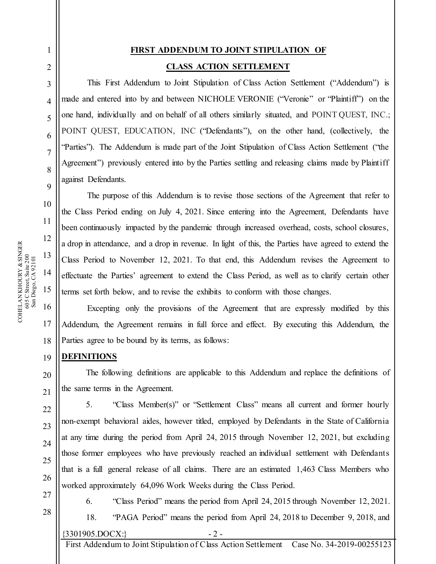1

2

## **FIRST ADDENDUM TO JOINT STIPULATION OF CLASS ACTION SETTLEMENT**

This First Addendum to Joint Stipulation of Class Action Settlement ("Addendum") is made and entered into by and between NICHOLE VERONIE ("Veronie" or "Plaintiff") on the one hand, individually and on behalf of all others similarly situated, and POINT QUEST, INC.; POINT QUEST, EDUCATION, INC ("Defendants"), on the other hand, (collectively, the "Parties"). The Addendum is made part of the Joint Stipulation of Class Action Settlement ("the Agreement") previously entered into by the Parties settling and releasing claims made by Plaintiff against Defendants.

The purpose of this Addendum is to revise those sections of the Agreement that refer to the Class Period ending on July 4, 2021. Since entering into the Agreement, Defendants have been continuously impacted by the pandemic through increased overhead, costs, school closures, a drop in attendance, and a drop in revenue. In light of this, the Parties have agreed to extend the Class Period to November 12, 2021. To that end, this Addendum revises the Agreement to effectuate the Parties' agreement to extend the Class Period, as well as to clarify certain other terms set forth below, and to revise the exhibits to conform with those changes.

18 Excepting only the provisions of the Agreement that are expressly modified by this Addendum, the Agreement remains in full force and effect. By executing this Addendum, the Parties agree to be bound by its terms, as follows:

## **DEFINITIONS**

The following definitions are applicable to this Addendum and replace the definitions of the same terms in the Agreement.

5. "Class Member(s)" or "Settlement Class" means all current and former hourly non-exempt behavioral aides, however titled, employed by Defendants in the State of California at any time during the period from April 24, 2015 through November 12, 2021, but excluding those former employees who have previously reached an individual settlement with Defendants that is a full general release of all claims. There are an estimated 1,463 Class Members who worked approximately 64,096 Work Weeks during the Class Period.

27 28

19

20

21

22

23

24

25

26

6. "Class Period" means the period from April 24, 2015 through November 12, 2021.

 $\{3301905, DOCX:\}$  - 2 -18. "PAGA Period" means the period from April 24, 2018 to December 9, 2018, and

First Addendum to Joint Stipulation of Class Action Settlement Case No. 34-2019-00255123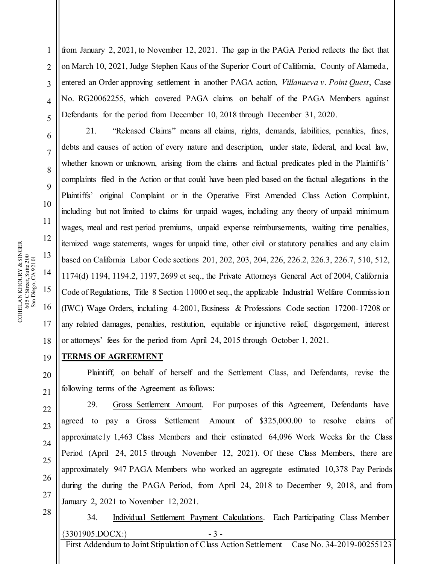1 2 3 4 5 from January 2, 2021, to November 12, 2021. The gap in the PAGA Period reflects the fact that on March 10, 2021, Judge Stephen Kaus of the Superior Court of California, County of Alameda, entered an Order approving settlement in another PAGA action, *Villanueva v. Point Quest*, Case No. RG20062255, which covered PAGA claims on behalf of the PAGA Members against Defendants for the period from December 10, 2018 through December 31, 2020.

21. "Released Claims" means all claims, rights, demands, liabilities, penalties, fines, debts and causes of action of every nature and description, under state, federal, and local law, whether known or unknown, arising from the claims and factual predicates pled in the Plaintiffs' complaints filed in the Action or that could have been pled based on the factual allegations in the Plaintiffs' original Complaint or in the Operative First Amended Class Action Complaint, including but not limited to claims for unpaid wages, including any theory of unpaid minimum wages, meal and rest period premiums, unpaid expense reimbursements, waiting time penalties, itemized wage statements, wages for unpaid time, other civil or statutory penalties and any claim based on California Labor Code sections 201, 202, 203, 204, 226, 226.2, 226.3, 226.7, 510, 512, 1174(d) 1194, 1194.2, 1197, 2699 et seq., the Private Attorneys General Act of 2004, California Code of Regulations, Title 8 Section 11000 et seq., the applicable Industrial Welfare Commission (IWC) Wage Orders, including 4-2001, Business & Professions Code section 17200-17208 or any related damages, penalties, restitution, equitable or injunctive relief, disgorgement, interest or attorneys' fees for the period from April 24, 2015 through October 1, 2021.

## **TERMS OF AGREEMENT**

Plaintiff, on behalf of herself and the Settlement Class, and Defendants, revise the following terms of the Agreement as follows:

29. Gross Settlement Amount. For purposes of this Agreement, Defendants have agreed to pay a Gross Settlement Amount of \$325,000.00 to resolve claims of approximate ly 1,463 Class Members and their estimated 64,096 Work Weeks for the Class Period (April 24, 2015 through November 12, 2021). Of these Class Members, there are approximately 947 PAGA Members who worked an aggregate estimated 10,378 Pay Periods during the during the PAGA Period, from April 24, 2018 to December 9, 2018, and from January 2, 2021 to November 12, 2021.

28

 $\{3301905, DOCX:\}$  - 3 -34. Individual Settlement Payment Calculations. Each Participating Class Member

First Addendum to Joint Stipulation of Class Action Settlement Case No. 34-2019-00255123

6

7

8

9

10

11

12

13

14

15

16

17

18

19

20

21

22

23

24

25

26

27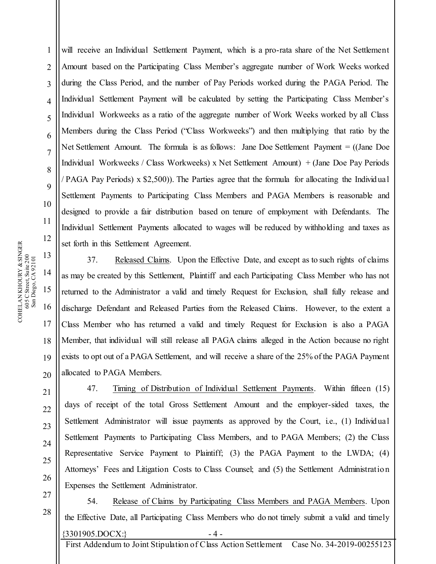will receive an Individual Settlement Payment, which is a pro-rata share of the Net Settlement Amount based on the Participating Class Member's aggregate number of Work Weeks worked during the Class Period, and the number of Pay Periods worked during the PAGA Period. The Individual Settlement Payment will be calculated by setting the Participating Class Member's Individual Workweeks as a ratio of the aggregate number of Work Weeks worked by all Class Members during the Class Period ("Class Workweeks") and then multiplying that ratio by the Net Settlement Amount. The formula is as follows: Jane Doe Settlement Payment = ((Jane Doe Individual Workweeks / Class Workweeks) x Net Settlement Amount) + (Jane Doe Pay Periods / PAGA Pay Periods) x \$2,500)). The Parties agree that the formula for allocating the Individual Settlement Payments to Participating Class Members and PAGA Members is reasonable and designed to provide a fair distribution based on tenure of employment with Defendants. The Individual Settlement Payments allocated to wages will be reduced by withholding and taxes as set forth in this Settlement Agreement.

37. Released Claims. Upon the Effective Date, and except as to such rights of claims as may be created by this Settlement, Plaintiff and each Participating Class Member who has not returned to the Administrator a valid and timely Request for Exclusion, shall fully release and discharge Defendant and Released Parties from the Released Claims. However, to the extent a Class Member who has returned a valid and timely Request for Exclusion is also a PAGA Member, that individual will still release all PAGA claims alleged in the Action because no right exists to opt out of a PAGA Settlement, and will receive a share of the 25% of the PAGA Payment allocated to PAGA Members.

47. Timing of Distribution of Individual Settlement Payments. Within fifteen (15) days of receipt of the total Gross Settlement Amount and the employer-sided taxes, the Settlement Administrator will issue payments as approved by the Court, i.e., (1) Individual Settlement Payments to Participating Class Members, and to PAGA Members; (2) the Class Representative Service Payment to Plaintiff; (3) the PAGA Payment to the LWDA; (4) Attorneys' Fees and Litigation Costs to Class Counsel; and (5) the Settlement Administration Expenses the Settlement Administrator.

 $\{3301905, DOCX:\}$  - 4 -54. Release of Claims by Participating Class Members and PAGA Members. Upon the Effective Date, all Participating Class Members who do not timely submit a valid and timely

First Addendum to Joint Stipulation of Class Action Settlement Case No. 34-2019-00255123

1

2

3

4

5

6

7

8

9

10

11

12

13

14

15

16

17

18

19

20

21

22

23

24

25

26

27

28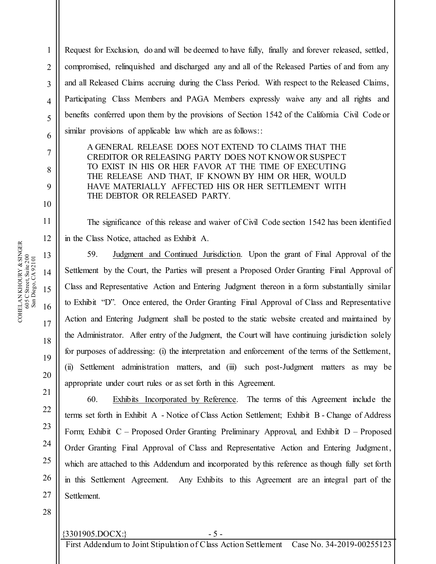Request for Exclusion, do and will be deemed to have fully, finally and forever released, settled, compromised, relinquished and discharged any and all of the Released Parties of and from any and all Released Claims accruing during the Class Period. With respect to the Released Claims, Participating Class Members and PAGA Members expressly waive any and all rights and benefits conferred upon them by the provisions of Section 1542 of the California Civil Code or similar provisions of applicable law which are as follows::

A GENERAL RELEASE DOES NOT EXTEND TO CLAIMS THAT THE CREDITOR OR RELEASING PARTY DOES NOT KNOW OR SUSPECT TO EXIST IN HIS OR HER FAVOR AT THE TIME OF EXECUTING THE RELEASE AND THAT, IF KNOWN BY HIM OR HER, WOULD HAVE MATERIALLY AFFECTED HIS OR HER SETTLEMENT WITH THE DEBTOR OR RELEASED PARTY.

The significance of this release and waiver of Civil Code section 1542 has been identified in the Class Notice, attached as Exhibit A.

59. Judgment and Continued Jurisdiction. Upon the grant of Final Approval of the Settlement by the Court, the Parties will present a Proposed Order Granting Final Approval of Class and Representative Action and Entering Judgment thereon in a form substantially similar to Exhibit "D". Once entered, the Order Granting Final Approval of Class and Representative Action and Entering Judgment shall be posted to the static website created and maintained by the Administrator. After entry of the Judgment, the Court will have continuing jurisdiction solely for purposes of addressing: (i) the interpretation and enforcement of the terms of the Settlement, (ii) Settlement administration matters, and (iii) such post-Judgment matters as may be appropriate under court rules or as set forth in this Agreement.

60. Exhibits Incorporated by Reference. The terms of this Agreement include the terms set forth in Exhibit A - Notice of Class Action Settlement; Exhibit B - Change of Address Form; Exhibit C – Proposed Order Granting Preliminary Approval, and Exhibit D – Proposed Order Granting Final Approval of Class and Representative Action and Entering Judgment, which are attached to this Addendum and incorporated by this reference as though fully set forth in this Settlement Agreement. Any Exhibits to this Agreement are an integral part of the Settlement.

28

13 14 15 16 17 COHELAN KHOURY COHELAN KHOURY & SINGER<br>605 C Street, Suite 200<br>San Diego, CA 92101 605 C Street, Suite 200 San Diego, CA 92101

1

2

3

4

5

6

7

8

9

10

11

12

18

19

20

21

22

23

24

25

26

27

## $\{3301905, DOCX:\}$  - 5 -

First Addendum to Joint Stipulation of Class Action Settlement Case No. 34-2019-00255123